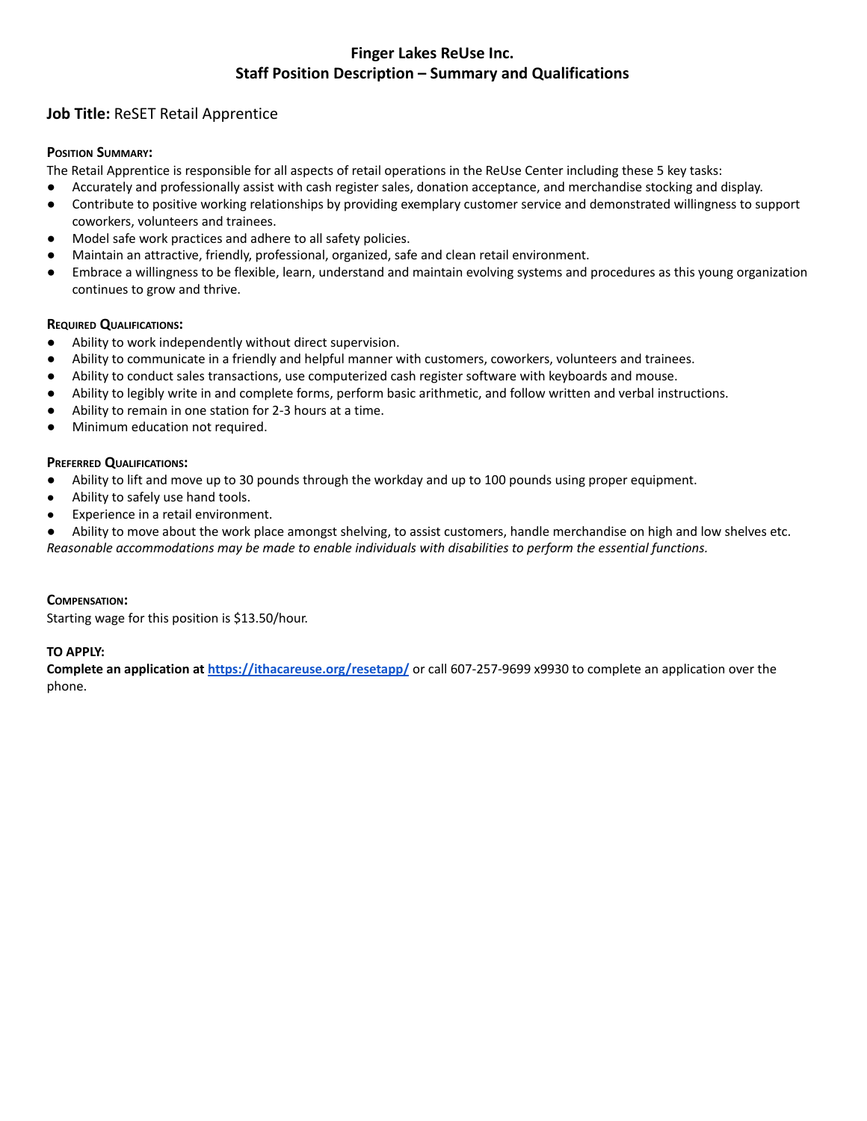# **Finger Lakes ReUse Inc. Staff Position Description – Summary and Qualifications**

# **Job Title:** ReSET Retail Apprentice

## **POSITION SUMMARY:**

The Retail Apprentice is responsible for all aspects of retail operations in the ReUse Center including these 5 key tasks:

- Accurately and professionally assist with cash register sales, donation acceptance, and merchandise stocking and display.
- Contribute to positive working relationships by providing exemplary customer service and demonstrated willingness to support coworkers, volunteers and trainees.
- Model safe work practices and adhere to all safety policies.
- Maintain an attractive, friendly, professional, organized, safe and clean retail environment.
- Embrace a willingness to be flexible, learn, understand and maintain evolving systems and procedures as this young organization continues to grow and thrive.

### **REQUIRED QUALIFICATIONS:**

- Ability to work independently without direct supervision.
- Ability to communicate in a friendly and helpful manner with customers, coworkers, volunteers and trainees.
- Ability to conduct sales transactions, use computerized cash register software with keyboards and mouse.
- Ability to legibly write in and complete forms, perform basic arithmetic, and follow written and verbal instructions.
- Ability to remain in one station for 2-3 hours at a time.
- Minimum education not required.

### **PREFERRED QUALIFICATIONS:**

- Ability to lift and move up to 30 pounds through the workday and up to 100 pounds using proper equipment.
- Ability to safely use hand tools.
- Experience in a retail environment.

● Ability to move about the work place amongst shelving, to assist customers, handle merchandise on high and low shelves etc. *Reasonable accommodations may be made to enable individuals with disabilities to perform the essential functions.*

### **COMPENSATION:**

Starting wage for this position is \$13.50/hour.

### **TO APPLY:**

**Complete an application at <https://ithacareuse.org/resetapp/>** or call 607-257-9699 x9930 to complete an application over the phone.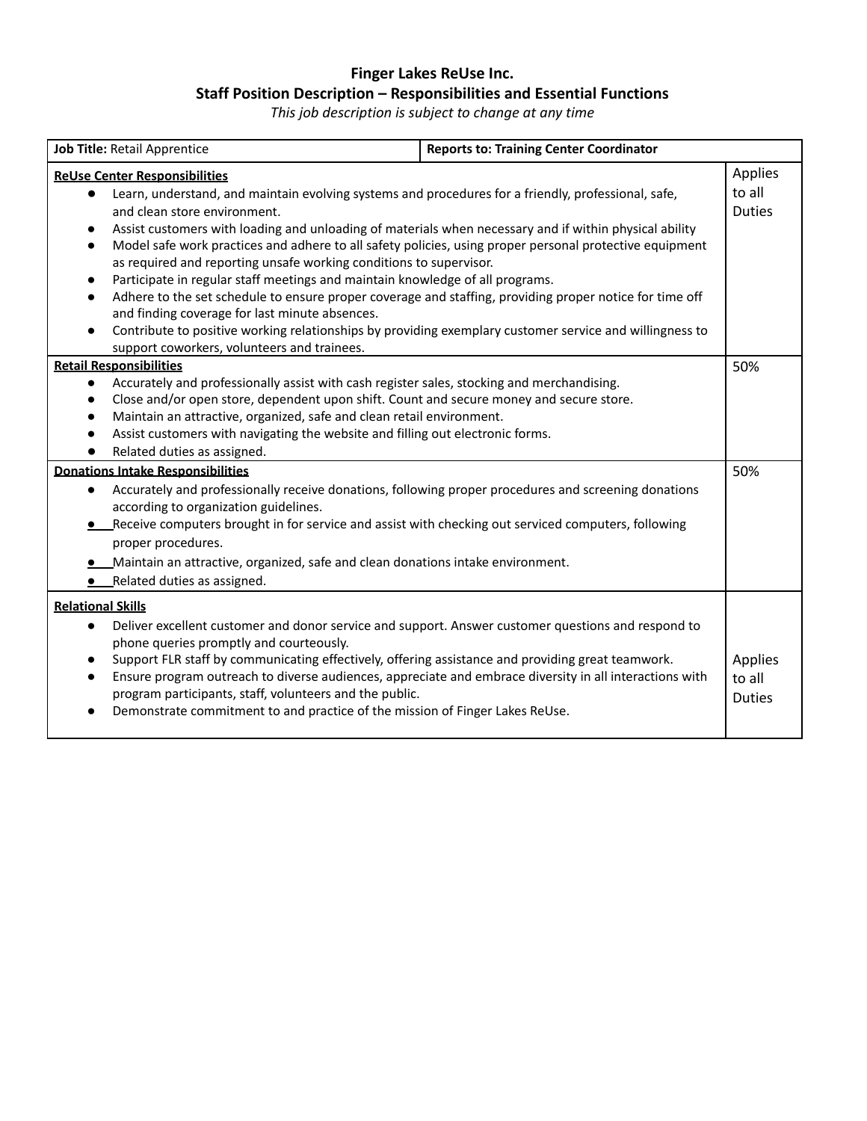# **Finger Lakes ReUse Inc. Staff Position Description – Responsibilities and Essential Functions**

*This job description is subject to change at any time*

| <b>Job Title: Retail Apprentice</b>                                                                                                                                                                                                                                                                                                                                                                                                                                                                                                                                                                                                                                                                                                                                                                                                                                                                                  | <b>Reports to: Training Center Coordinator</b> |                                    |
|----------------------------------------------------------------------------------------------------------------------------------------------------------------------------------------------------------------------------------------------------------------------------------------------------------------------------------------------------------------------------------------------------------------------------------------------------------------------------------------------------------------------------------------------------------------------------------------------------------------------------------------------------------------------------------------------------------------------------------------------------------------------------------------------------------------------------------------------------------------------------------------------------------------------|------------------------------------------------|------------------------------------|
| Applies<br><b>ReUse Center Responsibilities</b>                                                                                                                                                                                                                                                                                                                                                                                                                                                                                                                                                                                                                                                                                                                                                                                                                                                                      |                                                |                                    |
| Learn, understand, and maintain evolving systems and procedures for a friendly, professional, safe,<br>$\bullet$<br>and clean store environment.<br>Assist customers with loading and unloading of materials when necessary and if within physical ability<br>$\bullet$<br>Model safe work practices and adhere to all safety policies, using proper personal protective equipment<br>$\bullet$<br>as required and reporting unsafe working conditions to supervisor.<br>Participate in regular staff meetings and maintain knowledge of all programs.<br>$\bullet$<br>Adhere to the set schedule to ensure proper coverage and staffing, providing proper notice for time off<br>$\bullet$<br>and finding coverage for last minute absences.<br>Contribute to positive working relationships by providing exemplary customer service and willingness to<br>$\bullet$<br>support coworkers, volunteers and trainees. |                                                | to all<br><b>Duties</b>            |
| <b>Retail Responsibilities</b>                                                                                                                                                                                                                                                                                                                                                                                                                                                                                                                                                                                                                                                                                                                                                                                                                                                                                       |                                                | 50%                                |
| Accurately and professionally assist with cash register sales, stocking and merchandising.<br>$\bullet$<br>Close and/or open store, dependent upon shift. Count and secure money and secure store.<br>$\bullet$<br>Maintain an attractive, organized, safe and clean retail environment.<br>$\bullet$<br>Assist customers with navigating the website and filling out electronic forms.<br>$\bullet$<br>Related duties as assigned.<br><b>Donations Intake Responsibilities</b><br>Accurately and professionally receive donations, following proper procedures and screening donations<br>$\bullet$<br>according to organization guidelines.                                                                                                                                                                                                                                                                        |                                                | 50%                                |
| • Receive computers brought in for service and assist with checking out serviced computers, following<br>proper procedures.<br>_Maintain an attractive, organized, safe and clean donations intake environment.<br>• Related duties as assigned.                                                                                                                                                                                                                                                                                                                                                                                                                                                                                                                                                                                                                                                                     |                                                |                                    |
| <b>Relational Skills</b>                                                                                                                                                                                                                                                                                                                                                                                                                                                                                                                                                                                                                                                                                                                                                                                                                                                                                             |                                                |                                    |
| Deliver excellent customer and donor service and support. Answer customer questions and respond to<br>$\bullet$<br>phone queries promptly and courteously.<br>Support FLR staff by communicating effectively, offering assistance and providing great teamwork.<br>$\bullet$<br>Ensure program outreach to diverse audiences, appreciate and embrace diversity in all interactions with<br>$\bullet$<br>program participants, staff, volunteers and the public.<br>Demonstrate commitment to and practice of the mission of Finger Lakes ReUse.<br>$\bullet$                                                                                                                                                                                                                                                                                                                                                         |                                                | Applies<br>to all<br><b>Duties</b> |